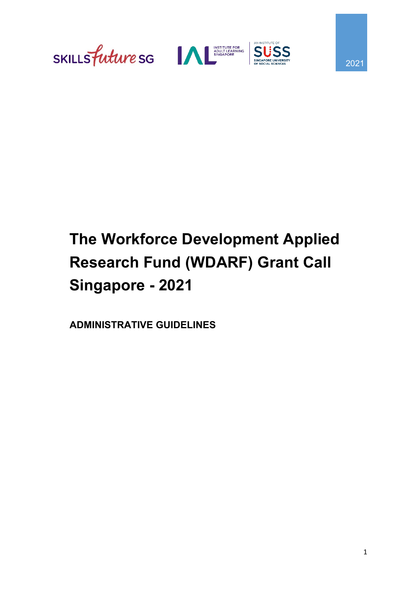





# **The Workforce Development Applied Research Fund (WDARF) Grant Call Singapore - 2021**

**ADMINISTRATIVE GUIDELINES**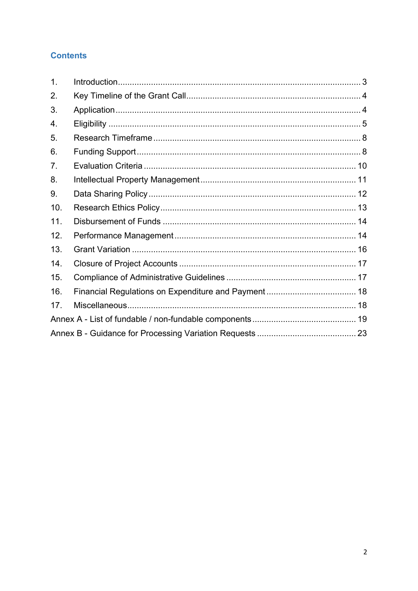#### **Contents**

| $\mathbf{1}$ . |  |
|----------------|--|
| 2.             |  |
| 3.             |  |
| 4.             |  |
| 5.             |  |
| 6.             |  |
| 7.             |  |
| 8.             |  |
| 9.             |  |
| 10.            |  |
| 11.            |  |
| 12.            |  |
| 13.            |  |
| 14.            |  |
| 15.            |  |
| 16.            |  |
| 17.            |  |
|                |  |
|                |  |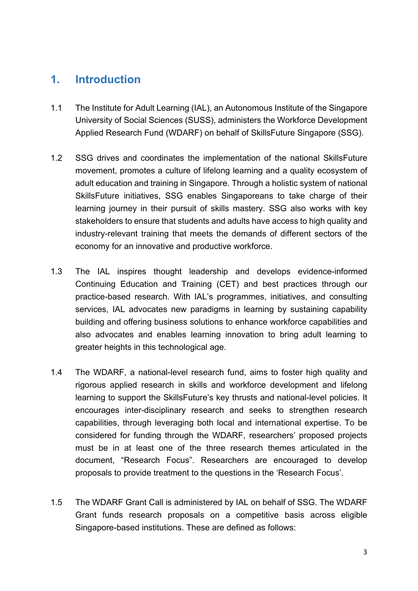#### <span id="page-2-0"></span>**1. Introduction**

- 1.1 The Institute for Adult Learning (IAL), an Autonomous Institute of the Singapore University of Social Sciences (SUSS), administers the Workforce Development Applied Research Fund (WDARF) on behalf of SkillsFuture Singapore (SSG).
- 1.2 SSG drives and coordinates the implementation of the national SkillsFuture movement, promotes a culture of lifelong learning and a quality ecosystem of adult education and training in Singapore. Through a holistic system of national SkillsFuture initiatives, SSG enables Singaporeans to take charge of their learning journey in their pursuit of skills mastery. SSG also works with key stakeholders to ensure that students and adults have access to high quality and industry-relevant training that meets the demands of different sectors of the economy for an innovative and productive workforce.
- 1.3 The IAL inspires thought leadership and develops evidence-informed Continuing Education and Training (CET) and best practices through our practice-based research. With IAL's programmes, initiatives, and consulting services, IAL advocates new paradigms in learning by sustaining capability building and offering business solutions to enhance workforce capabilities and also advocates and enables learning innovation to bring adult learning to greater heights in this technological age.
- 1.4 The WDARF, a national-level research fund, aims to foster high quality and rigorous applied research in skills and workforce development and lifelong learning to support the SkillsFuture's key thrusts and national-level policies. It encourages inter-disciplinary research and seeks to strengthen research capabilities, through leveraging both local and international expertise. To be considered for funding through the WDARF, researchers' proposed projects must be in at least one of the three research themes articulated in the document, "Research Focus". Researchers are encouraged to develop proposals to provide treatment to the questions in the 'Research Focus'.
- 1.5 The WDARF Grant Call is administered by IAL on behalf of SSG. The WDARF Grant funds research proposals on a competitive basis across eligible Singapore-based institutions. These are defined as follows: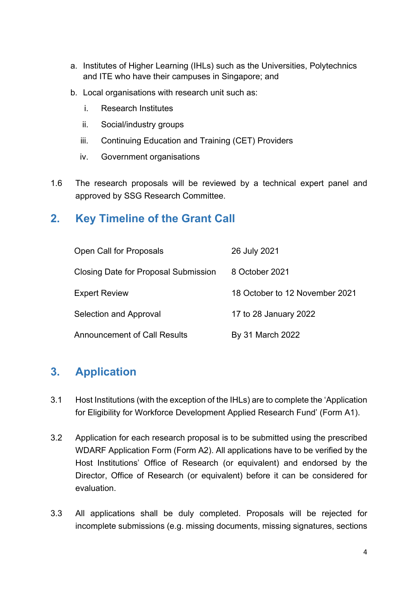- a. Institutes of Higher Learning (IHLs) such as the Universities, Polytechnics and ITE who have their campuses in Singapore; and
- b. Local organisations with research unit such as:
	- i. Research Institutes
	- ii. Social/industry groups
	- iii. Continuing Education and Training (CET) Providers
	- iv. Government organisations
- 1.6 The research proposals will be reviewed by a technical expert panel and approved by SSG Research Committee.

#### <span id="page-3-0"></span>**2. Key Timeline of the Grant Call**

| Open Call for Proposals                     | 26 July 2021                   |
|---------------------------------------------|--------------------------------|
| <b>Closing Date for Proposal Submission</b> | 8 October 2021                 |
| <b>Expert Review</b>                        | 18 October to 12 November 2021 |
| Selection and Approval                      | 17 to 28 January 2022          |
| Announcement of Call Results                | By 31 March 2022               |

#### <span id="page-3-1"></span>**3. Application**

- 3.1 Host Institutions (with the exception of the IHLs) are to complete the 'Application for Eligibility for Workforce Development Applied Research Fund' (Form A1).
- 3.2 Application for each research proposal is to be submitted using the prescribed WDARF Application Form (Form A2). All applications have to be verified by the Host Institutions' Office of Research (or equivalent) and endorsed by the Director, Office of Research (or equivalent) before it can be considered for evaluation.
- 3.3 All applications shall be duly completed. Proposals will be rejected for incomplete submissions (e.g. missing documents, missing signatures, sections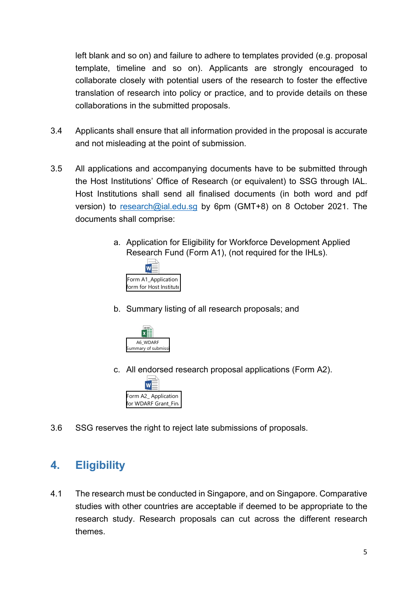left blank and so on) and failure to adhere to templates provided (e.g. proposal template, timeline and so on). Applicants are strongly encouraged to collaborate closely with potential users of the research to foster the effective translation of research into policy or practice, and to provide details on these collaborations in the submitted proposals.

- 3.4 Applicants shall ensure that all information provided in the proposal is accurate and not misleading at the point of submission.
- 3.5 All applications and accompanying documents have to be submitted through the Host Institutions' Office of Research (or equivalent) to SSG through IAL. Host Institutions shall send all finalised documents (in both word and pdf version) to [research@ial.edu.sg](mailto:research@ial.edu.sg) by 6pm (GMT+8) on 8 October 2021. The documents shall comprise:
	- a. Application for Eligibility for Workforce Development Applied Research Fund (Form A1), (not required for the IHLs).



b. Summary listing of all research proposals; and



c. All endorsed research proposal applications (Form A2).



3.6 SSG reserves the right to reject late submissions of proposals.

### <span id="page-4-0"></span>**4. Eligibility**

4.1 The research must be conducted in Singapore, and on Singapore. Comparative studies with other countries are acceptable if deemed to be appropriate to the research study. Research proposals can cut across the different research themes.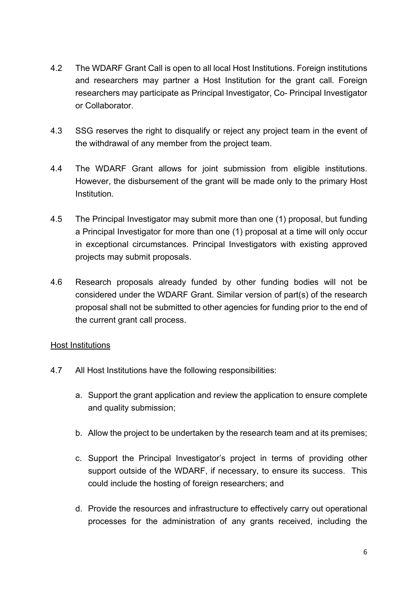- 4.2 The WDARF Grant Call is open to all local Host Institutions. Foreign institutions and researchers may partner a Host Institution for the grant call. Foreign researchers may participate as Principal Investigator, Co- Principal Investigator or Collaborator.
- 4.3 SSG reserves the right to disqualify or reject any project team in the event of the withdrawal of any member from the project team.
- 4.4 The WDARF Grant allows for joint submission from eligible institutions. However, the disbursement of the grant will be made only to the primary Host Institution.
- 4.5 The Principal Investigator may submit more than one (1) proposal, but funding a Principal Investigator for more than one (1) proposal at a time will only occur in exceptional circumstances. Principal Investigators with existing approved projects may submit proposals.
- 4.6 Research proposals already funded by other funding bodies will not be considered under the WDARF Grant. Similar version of part(s) of the research proposal shall not be submitted to other agencies for funding prior to the end of the current grant call process.

#### Host Institutions

- 4.7 All Host Institutions have the following responsibilities:
	- a. Support the grant application and review the application to ensure complete and quality submission;
	- b. Allow the project to be undertaken by the research team and at its premises;
	- c. Support the Principal Investigator's project in terms of providing other support outside of the WDARF, if necessary, to ensure its success. This could include the hosting of foreign researchers; and
	- d. Provide the resources and infrastructure to effectively carry out operational processes for the administration of any grants received, including the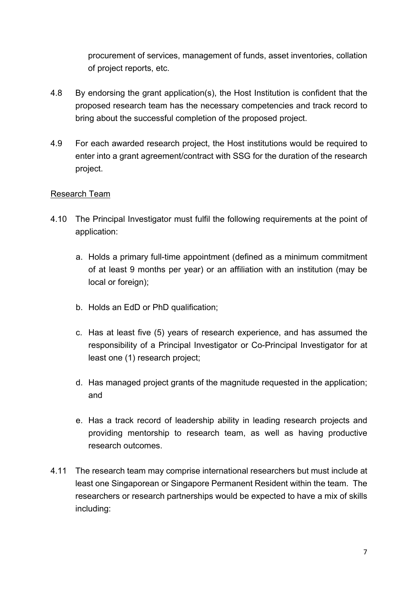procurement of services, management of funds, asset inventories, collation of project reports, etc.

- 4.8 By endorsing the grant application(s), the Host Institution is confident that the proposed research team has the necessary competencies and track record to bring about the successful completion of the proposed project.
- 4.9 For each awarded research project, the Host institutions would be required to enter into a grant agreement/contract with SSG for the duration of the research project.

#### Research Team

- 4.10 The Principal Investigator must fulfil the following requirements at the point of application:
	- a. Holds a primary full-time appointment (defined as a minimum commitment of at least 9 months per year) or an affiliation with an institution (may be local or foreign);
	- b. Holds an EdD or PhD qualification;
	- c. Has at least five (5) years of research experience, and has assumed the responsibility of a Principal Investigator or Co-Principal Investigator for at least one (1) research project;
	- d. Has managed project grants of the magnitude requested in the application; and
	- e. Has a track record of leadership ability in leading research projects and providing mentorship to research team, as well as having productive research outcomes.
- 4.11 The research team may comprise international researchers but must include at least one Singaporean or Singapore Permanent Resident within the team. The researchers or research partnerships would be expected to have a mix of skills including: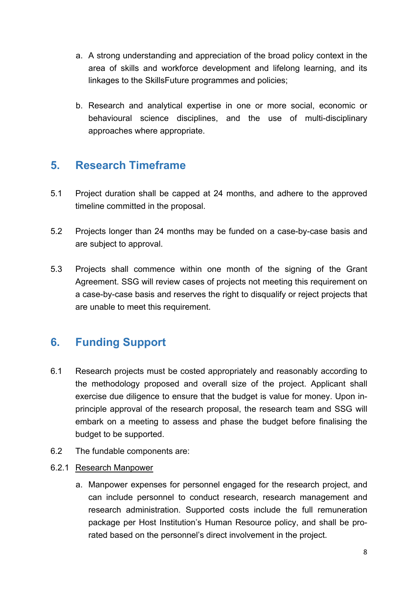- a. A strong understanding and appreciation of the broad policy context in the area of skills and workforce development and lifelong learning, and its linkages to the SkillsFuture programmes and policies;
- b. Research and analytical expertise in one or more social, economic or behavioural science disciplines, and the use of multi-disciplinary approaches where appropriate.

#### <span id="page-7-0"></span>**5. Research Timeframe**

- 5.1 Project duration shall be capped at 24 months, and adhere to the approved timeline committed in the proposal.
- 5.2 Projects longer than 24 months may be funded on a case-by-case basis and are subject to approval.
- 5.3 Projects shall commence within one month of the signing of the Grant Agreement. SSG will review cases of projects not meeting this requirement on a case-by-case basis and reserves the right to disqualify or reject projects that are unable to meet this requirement.

### <span id="page-7-1"></span>**6. Funding Support**

- 6.1 Research projects must be costed appropriately and reasonably according to the methodology proposed and overall size of the project. Applicant shall exercise due diligence to ensure that the budget is value for money. Upon inprinciple approval of the research proposal, the research team and SSG will embark on a meeting to assess and phase the budget before finalising the budget to be supported.
- 6.2 The fundable components are:
- 6.2.1 Research Manpower
	- a. Manpower expenses for personnel engaged for the research project, and can include personnel to conduct research, research management and research administration. Supported costs include the full remuneration package per Host Institution's Human Resource policy, and shall be prorated based on the personnel's direct involvement in the project.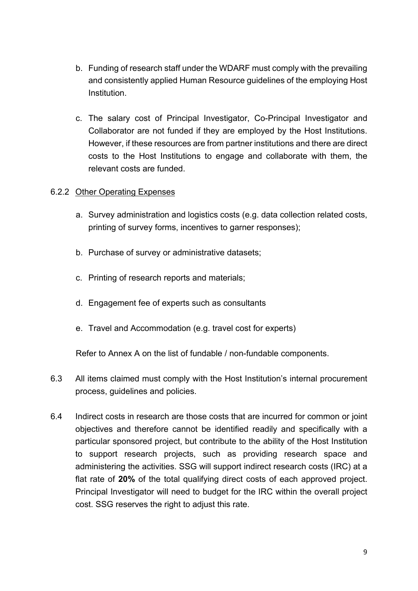- b. Funding of research staff under the WDARF must comply with the prevailing and consistently applied Human Resource guidelines of the employing Host Institution.
- c. The salary cost of Principal Investigator, Co-Principal Investigator and Collaborator are not funded if they are employed by the Host Institutions. However, if these resources are from partner institutions and there are direct costs to the Host Institutions to engage and collaborate with them, the relevant costs are funded.

#### 6.2.2 Other Operating Expenses

- a. Survey administration and logistics costs (e.g. data collection related costs, printing of survey forms, incentives to garner responses);
- b. Purchase of survey or administrative datasets;
- c. Printing of research reports and materials;
- d. Engagement fee of experts such as consultants
- e. Travel and Accommodation (e.g. travel cost for experts)

Refer to Annex A on the list of fundable / non-fundable components.

- 6.3 All items claimed must comply with the Host Institution's internal procurement process, guidelines and policies.
- 6.4 Indirect costs in research are those costs that are incurred for common or joint objectives and therefore cannot be identified readily and specifically with a particular sponsored project, but contribute to the ability of the Host Institution to support research projects, such as providing research space and administering the activities. SSG will support indirect research costs (IRC) at a flat rate of **20%** of the total qualifying direct costs of each approved project. Principal Investigator will need to budget for the IRC within the overall project cost. SSG reserves the right to adjust this rate.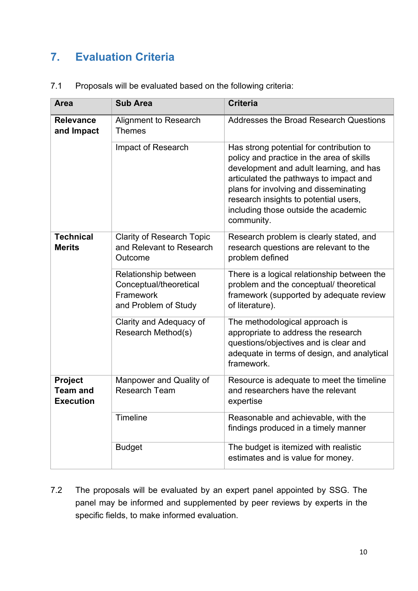### <span id="page-9-0"></span>**7. Evaluation Criteria**

| <b>Area</b>                                    | <b>Sub Area</b>                                                                     | <b>Criteria</b>                                                                                                                                                                                                                                                                                                    |  |
|------------------------------------------------|-------------------------------------------------------------------------------------|--------------------------------------------------------------------------------------------------------------------------------------------------------------------------------------------------------------------------------------------------------------------------------------------------------------------|--|
| <b>Relevance</b><br>and Impact                 | Alignment to Research<br><b>Themes</b>                                              | <b>Addresses the Broad Research Questions</b>                                                                                                                                                                                                                                                                      |  |
|                                                | Impact of Research                                                                  | Has strong potential for contribution to<br>policy and practice in the area of skills<br>development and adult learning, and has<br>articulated the pathways to impact and<br>plans for involving and disseminating<br>research insights to potential users,<br>including those outside the academic<br>community. |  |
| <b>Technical</b><br><b>Merits</b>              | <b>Clarity of Research Topic</b><br>and Relevant to Research<br>Outcome             | Research problem is clearly stated, and<br>research questions are relevant to the<br>problem defined                                                                                                                                                                                                               |  |
|                                                | Relationship between<br>Conceptual/theoretical<br>Framework<br>and Problem of Study | There is a logical relationship between the<br>problem and the conceptual/ theoretical<br>framework (supported by adequate review<br>of literature).                                                                                                                                                               |  |
|                                                | Clarity and Adequacy of<br>Research Method(s)                                       | The methodological approach is<br>appropriate to address the research<br>questions/objectives and is clear and<br>adequate in terms of design, and analytical<br>framework.                                                                                                                                        |  |
| Project<br><b>Team and</b><br><b>Execution</b> | Manpower and Quality of<br><b>Research Team</b>                                     | Resource is adequate to meet the timeline<br>and researchers have the relevant<br>expertise                                                                                                                                                                                                                        |  |
|                                                | Timeline                                                                            | Reasonable and achievable, with the<br>findings produced in a timely manner                                                                                                                                                                                                                                        |  |
|                                                | <b>Budget</b>                                                                       | The budget is itemized with realistic<br>estimates and is value for money.                                                                                                                                                                                                                                         |  |

7.1 Proposals will be evaluated based on the following criteria:

7.2 The proposals will be evaluated by an expert panel appointed by SSG. The panel may be informed and supplemented by peer reviews by experts in the specific fields, to make informed evaluation.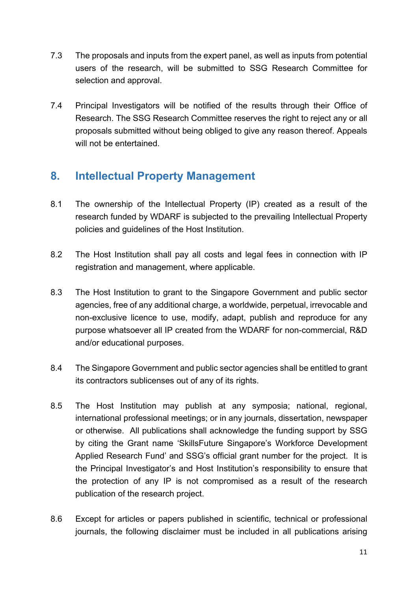- 7.3 The proposals and inputs from the expert panel, as well as inputs from potential users of the research, will be submitted to SSG Research Committee for selection and approval.
- 7.4 Principal Investigators will be notified of the results through their Office of Research. The SSG Research Committee reserves the right to reject any or all proposals submitted without being obliged to give any reason thereof. Appeals will not be entertained.

### <span id="page-10-0"></span>**8. Intellectual Property Management**

- 8.1 The ownership of the Intellectual Property (IP) created as a result of the research funded by WDARF is subjected to the prevailing Intellectual Property policies and guidelines of the Host Institution.
- 8.2 The Host Institution shall pay all costs and legal fees in connection with IP registration and management, where applicable.
- 8.3 The Host Institution to grant to the Singapore Government and public sector agencies, free of any additional charge, a worldwide, perpetual, irrevocable and non-exclusive licence to use, modify, adapt, publish and reproduce for any purpose whatsoever all IP created from the WDARF for non-commercial, R&D and/or educational purposes.
- 8.4 The Singapore Government and public sector agencies shall be entitled to grant its contractors sublicenses out of any of its rights.
- 8.5 The Host Institution may publish at any symposia; national, regional, international professional meetings; or in any journals, dissertation, newspaper or otherwise. All publications shall acknowledge the funding support by SSG by citing the Grant name 'SkillsFuture Singapore's Workforce Development Applied Research Fund' and SSG's official grant number for the project. It is the Principal Investigator's and Host Institution's responsibility to ensure that the protection of any IP is not compromised as a result of the research publication of the research project.
- 8.6 Except for articles or papers published in scientific, technical or professional journals, the following disclaimer must be included in all publications arising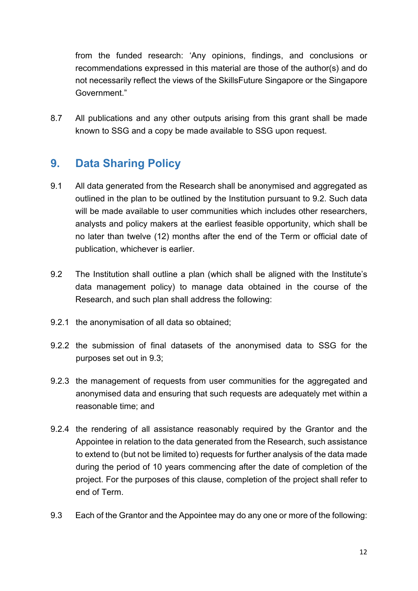from the funded research: 'Any opinions, findings, and conclusions or recommendations expressed in this material are those of the author(s) and do not necessarily reflect the views of the SkillsFuture Singapore or the Singapore Government."

8.7 All publications and any other outputs arising from this grant shall be made known to SSG and a copy be made available to SSG upon request.

### <span id="page-11-0"></span>**9. Data Sharing Policy**

- 9.1 All data generated from the Research shall be anonymised and aggregated as outlined in the plan to be outlined by the Institution pursuant to 9.2. Such data will be made available to user communities which includes other researchers, analysts and policy makers at the earliest feasible opportunity, which shall be no later than twelve (12) months after the end of the Term or official date of publication, whichever is earlier.
- 9.2 The Institution shall outline a plan (which shall be aligned with the Institute's data management policy) to manage data obtained in the course of the Research, and such plan shall address the following:
- 9.2.1 the anonymisation of all data so obtained;
- 9.2.2 the submission of final datasets of the anonymised data to SSG for the purposes set out in 9.3;
- 9.2.3 the management of requests from user communities for the aggregated and anonymised data and ensuring that such requests are adequately met within a reasonable time; and
- 9.2.4 the rendering of all assistance reasonably required by the Grantor and the Appointee in relation to the data generated from the Research, such assistance to extend to (but not be limited to) requests for further analysis of the data made during the period of 10 years commencing after the date of completion of the project. For the purposes of this clause, completion of the project shall refer to end of Term.
- 9.3 Each of the Grantor and the Appointee may do any one or more of the following: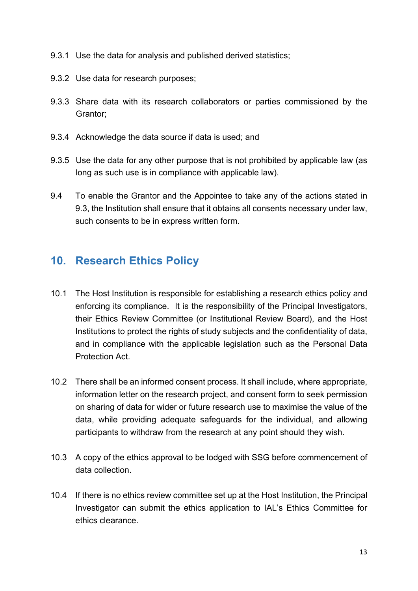- 9.3.1 Use the data for analysis and published derived statistics;
- 9.3.2 Use data for research purposes;
- 9.3.3 Share data with its research collaborators or parties commissioned by the Grantor;
- 9.3.4 Acknowledge the data source if data is used; and
- 9.3.5 Use the data for any other purpose that is not prohibited by applicable law (as long as such use is in compliance with applicable law).
- 9.4 To enable the Grantor and the Appointee to take any of the actions stated in 9.3, the Institution shall ensure that it obtains all consents necessary under law, such consents to be in express written form.

#### <span id="page-12-0"></span>**10. Research Ethics Policy**

- 10.1 The Host Institution is responsible for establishing a research ethics policy and enforcing its compliance. It is the responsibility of the Principal Investigators, their Ethics Review Committee (or Institutional Review Board), and the Host Institutions to protect the rights of study subjects and the confidentiality of data, and in compliance with the applicable legislation such as the Personal Data Protection Act.
- 10.2 There shall be an informed consent process. It shall include, where appropriate, information letter on the research project, and consent form to seek permission on sharing of data for wider or future research use to maximise the value of the data, while providing adequate safeguards for the individual, and allowing participants to withdraw from the research at any point should they wish.
- 10.3 A copy of the ethics approval to be lodged with SSG before commencement of data collection.
- 10.4 If there is no ethics review committee set up at the Host Institution, the Principal Investigator can submit the ethics application to IAL's Ethics Committee for ethics clearance.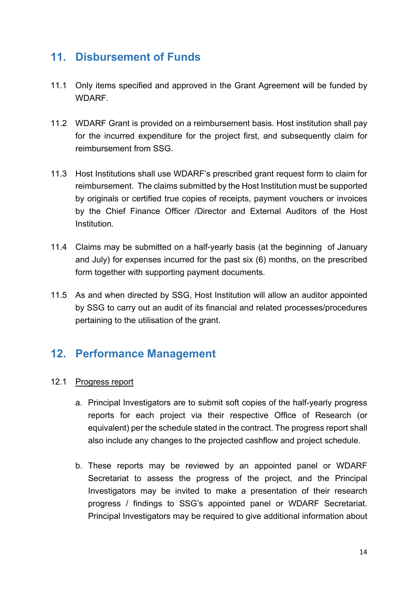#### <span id="page-13-0"></span>**11. Disbursement of Funds**

- 11.1 Only items specified and approved in the Grant Agreement will be funded by **WDARF**
- 11.2 WDARF Grant is provided on a reimbursement basis. Host institution shall pay for the incurred expenditure for the project first, and subsequently claim for reimbursement from SSG.
- 11.3 Host Institutions shall use WDARF's prescribed grant request form to claim for reimbursement. The claims submitted by the Host Institution must be supported by originals or certified true copies of receipts, payment vouchers or invoices by the Chief Finance Officer /Director and External Auditors of the Host Institution.
- 11.4 Claims may be submitted on a half-yearly basis (at the beginning of January and July) for expenses incurred for the past six (6) months, on the prescribed form together with supporting payment documents.
- 11.5 As and when directed by SSG, Host Institution will allow an auditor appointed by SSG to carry out an audit of its financial and related processes/procedures pertaining to the utilisation of the grant.

### <span id="page-13-1"></span>**12. Performance Management**

#### 12.1 Progress report

- a. Principal Investigators are to submit soft copies of the half-yearly progress reports for each project via their respective Office of Research (or equivalent) per the schedule stated in the contract. The progress report shall also include any changes to the projected cashflow and project schedule.
- b. These reports may be reviewed by an appointed panel or WDARF Secretariat to assess the progress of the project, and the Principal Investigators may be invited to make a presentation of their research progress / findings to SSG's appointed panel or WDARF Secretariat. Principal Investigators may be required to give additional information about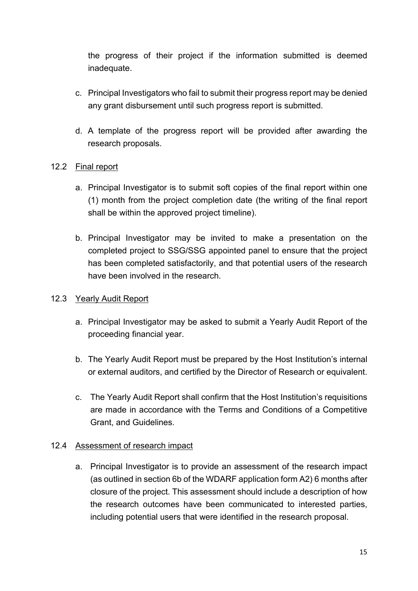the progress of their project if the information submitted is deemed inadequate.

- c. Principal Investigators who fail to submit their progress report may be denied any grant disbursement until such progress report is submitted.
- d. A template of the progress report will be provided after awarding the research proposals.

#### 12.2 Final report

- a. Principal Investigator is to submit soft copies of the final report within one (1) month from the project completion date (the writing of the final report shall be within the approved project timeline).
- b. Principal Investigator may be invited to make a presentation on the completed project to SSG/SSG appointed panel to ensure that the project has been completed satisfactorily, and that potential users of the research have been involved in the research.

#### 12.3 Yearly Audit Report

- a. Principal Investigator may be asked to submit a Yearly Audit Report of the proceeding financial year.
- b. The Yearly Audit Report must be prepared by the Host Institution's internal or external auditors, and certified by the Director of Research or equivalent.
- c. The Yearly Audit Report shall confirm that the Host Institution's requisitions are made in accordance with the Terms and Conditions of a Competitive Grant, and Guidelines.

#### 12.4 Assessment of research impact

a. Principal Investigator is to provide an assessment of the research impact (as outlined in section 6b of the WDARF application form A2) 6 months after closure of the project. This assessment should include a description of how the research outcomes have been communicated to interested parties, including potential users that were identified in the research proposal.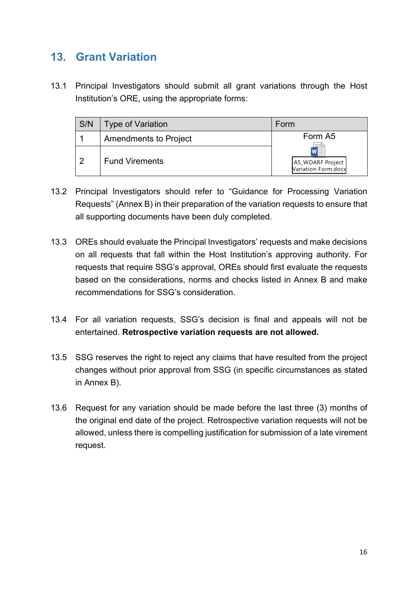### <span id="page-15-0"></span>**13. Grant Variation**

13.1 Principal Investigators should submit all grant variations through the Host Institution's ORE, using the appropriate forms:

| S/N | <b>Type of Variation</b> | Form                                    |
|-----|--------------------------|-----------------------------------------|
|     | Amendments to Project    | Form A5                                 |
|     | <b>Fund Virements</b>    | A5_WDARF Project<br>Variation Form.docx |

- 13.2 Principal Investigators should refer to "Guidance for Processing Variation Requests" (Annex B) in their preparation of the variation requests to ensure that all supporting documents have been duly completed.
- 13.3 OREs should evaluate the Principal Investigators' requests and make decisions on all requests that fall within the Host Institution's approving authority. For requests that require SSG's approval, OREs should first evaluate the requests based on the considerations, norms and checks listed in Annex B and make recommendations for SSG's consideration.
- 13.4 For all variation requests, SSG's decision is final and appeals will not be entertained. **Retrospective variation requests are not allowed.**
- 13.5 SSG reserves the right to reject any claims that have resulted from the project changes without prior approval from SSG (in specific circumstances as stated in Annex B).
- 13.6 Request for any variation should be made before the last three (3) months of the original end date of the project. Retrospective variation requests will not be allowed, unless there is compelling justification for submission of a late virement request.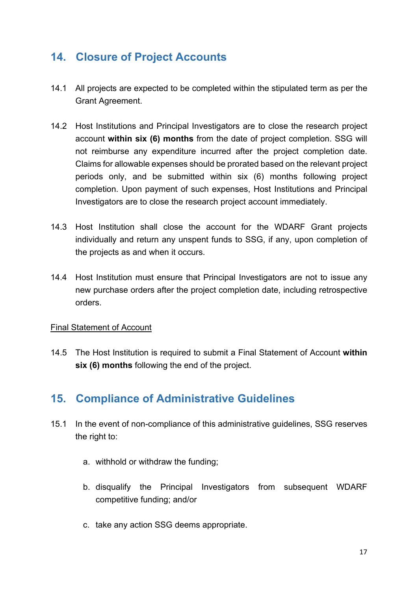### <span id="page-16-0"></span>**14. Closure of Project Accounts**

- 14.1 All projects are expected to be completed within the stipulated term as per the Grant Agreement.
- 14.2 Host Institutions and Principal Investigators are to close the research project account **within six (6) months** from the date of project completion. SSG will not reimburse any expenditure incurred after the project completion date. Claims for allowable expenses should be prorated based on the relevant project periods only, and be submitted within six (6) months following project completion. Upon payment of such expenses, Host Institutions and Principal Investigators are to close the research project account immediately.
- 14.3 Host Institution shall close the account for the WDARF Grant projects individually and return any unspent funds to SSG, if any, upon completion of the projects as and when it occurs.
- 14.4 Host Institution must ensure that Principal Investigators are not to issue any new purchase orders after the project completion date, including retrospective orders.

#### Final Statement of Account

14.5 The Host Institution is required to submit a Final Statement of Account **within six (6) months** following the end of the project.

#### <span id="page-16-1"></span>**15. Compliance of Administrative Guidelines**

- 15.1 In the event of non-compliance of this administrative guidelines, SSG reserves the right to:
	- a. withhold or withdraw the funding;
	- b. disqualify the Principal Investigators from subsequent WDARF competitive funding; and/or
	- c. take any action SSG deems appropriate.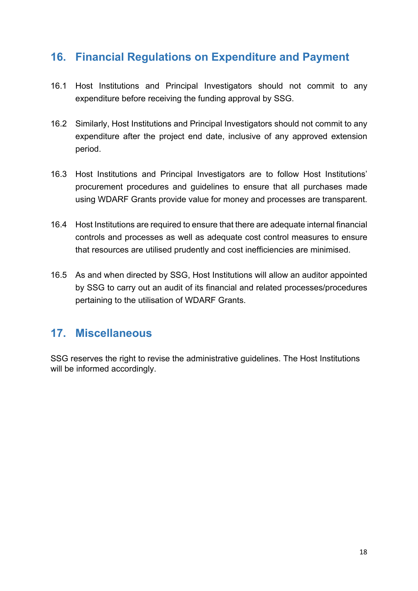#### <span id="page-17-0"></span>**16. Financial Regulations on Expenditure and Payment**

- 16.1 Host Institutions and Principal Investigators should not commit to any expenditure before receiving the funding approval by SSG.
- 16.2 Similarly, Host Institutions and Principal Investigators should not commit to any expenditure after the project end date, inclusive of any approved extension period.
- 16.3 Host Institutions and Principal Investigators are to follow Host Institutions' procurement procedures and guidelines to ensure that all purchases made using WDARF Grants provide value for money and processes are transparent.
- 16.4 Host Institutions are required to ensure that there are adequate internal financial controls and processes as well as adequate cost control measures to ensure that resources are utilised prudently and cost inefficiencies are minimised.
- 16.5 As and when directed by SSG, Host Institutions will allow an auditor appointed by SSG to carry out an audit of its financial and related processes/procedures pertaining to the utilisation of WDARF Grants.

#### <span id="page-17-1"></span>**17. Miscellaneous**

SSG reserves the right to revise the administrative guidelines. The Host Institutions will be informed accordingly.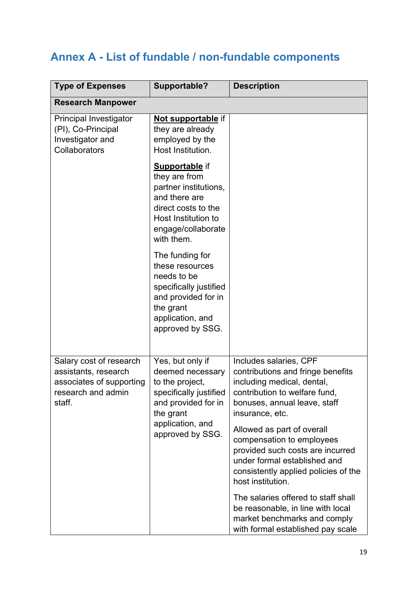## <span id="page-18-0"></span>**Annex A - List of fundable / non-fundable components**

| <b>Type of Expenses</b>                                                                                     | Supportable?                                                                                                                                                       | <b>Description</b>                                                                                                                                                                       |
|-------------------------------------------------------------------------------------------------------------|--------------------------------------------------------------------------------------------------------------------------------------------------------------------|------------------------------------------------------------------------------------------------------------------------------------------------------------------------------------------|
| <b>Research Manpower</b>                                                                                    |                                                                                                                                                                    |                                                                                                                                                                                          |
| Principal Investigator<br>(PI), Co-Principal<br>Investigator and<br>Collaborators                           | Not supportable if<br>they are already<br>employed by the<br>Host Institution.                                                                                     |                                                                                                                                                                                          |
|                                                                                                             | <b>Supportable</b> if<br>they are from<br>partner institutions,<br>and there are<br>direct costs to the<br>Host Institution to<br>engage/collaborate<br>with them. |                                                                                                                                                                                          |
|                                                                                                             | The funding for<br>these resources<br>needs to be<br>specifically justified<br>and provided for in<br>the grant<br>application, and<br>approved by SSG.            |                                                                                                                                                                                          |
| Salary cost of research<br>assistants, research<br>associates of supporting<br>research and admin<br>staff. | Yes, but only if<br>deemed necessary<br>to the project,<br>specifically justified<br>and provided for in<br>the grant                                              | Includes salaries, CPF<br>contributions and fringe benefits<br>including medical, dental,<br>contribution to welfare fund.<br>bonuses, annual leave, staff<br>insurance, etc.            |
| application, and<br>approved by SSG.                                                                        |                                                                                                                                                                    | Allowed as part of overall<br>compensation to employees<br>provided such costs are incurred<br>under formal established and<br>consistently applied policies of the<br>host institution. |
|                                                                                                             |                                                                                                                                                                    | The salaries offered to staff shall<br>be reasonable, in line with local<br>market benchmarks and comply<br>with formal established pay scale                                            |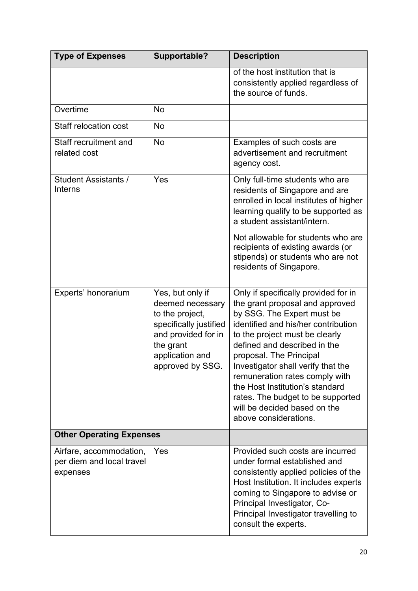| <b>Type of Expenses</b>                                          | Supportable?                                                                                                                                                 | <b>Description</b>                                                                                                                                                                                                                                                                                                                                                                                                                                 |
|------------------------------------------------------------------|--------------------------------------------------------------------------------------------------------------------------------------------------------------|----------------------------------------------------------------------------------------------------------------------------------------------------------------------------------------------------------------------------------------------------------------------------------------------------------------------------------------------------------------------------------------------------------------------------------------------------|
|                                                                  |                                                                                                                                                              | of the host institution that is<br>consistently applied regardless of<br>the source of funds.                                                                                                                                                                                                                                                                                                                                                      |
| Overtime                                                         | <b>No</b>                                                                                                                                                    |                                                                                                                                                                                                                                                                                                                                                                                                                                                    |
| <b>Staff relocation cost</b>                                     | <b>No</b>                                                                                                                                                    |                                                                                                                                                                                                                                                                                                                                                                                                                                                    |
| Staff recruitment and<br>related cost                            | <b>No</b>                                                                                                                                                    | Examples of such costs are<br>advertisement and recruitment<br>agency cost.                                                                                                                                                                                                                                                                                                                                                                        |
| Student Assistants /<br>Interns                                  | Yes                                                                                                                                                          | Only full-time students who are<br>residents of Singapore and are<br>enrolled in local institutes of higher<br>learning qualify to be supported as<br>a student assistant/intern.                                                                                                                                                                                                                                                                  |
|                                                                  |                                                                                                                                                              | Not allowable for students who are<br>recipients of existing awards (or<br>stipends) or students who are not<br>residents of Singapore.                                                                                                                                                                                                                                                                                                            |
| Experts' honorarium                                              | Yes, but only if<br>deemed necessary<br>to the project,<br>specifically justified<br>and provided for in<br>the grant<br>application and<br>approved by SSG. | Only if specifically provided for in<br>the grant proposal and approved<br>by SSG. The Expert must be<br>identified and his/her contribution<br>to the project must be clearly<br>defined and described in the<br>proposal. The Principal<br>Investigator shall verify that the<br>remuneration rates comply with<br>the Host Institution's standard<br>rates. The budget to be supported<br>will be decided based on the<br>above considerations. |
| <b>Other Operating Expenses</b>                                  |                                                                                                                                                              |                                                                                                                                                                                                                                                                                                                                                                                                                                                    |
| Airfare, accommodation,<br>per diem and local travel<br>expenses | Yes                                                                                                                                                          | Provided such costs are incurred<br>under formal established and<br>consistently applied policies of the<br>Host Institution. It includes experts<br>coming to Singapore to advise or<br>Principal Investigator, Co-<br>Principal Investigator travelling to<br>consult the experts.                                                                                                                                                               |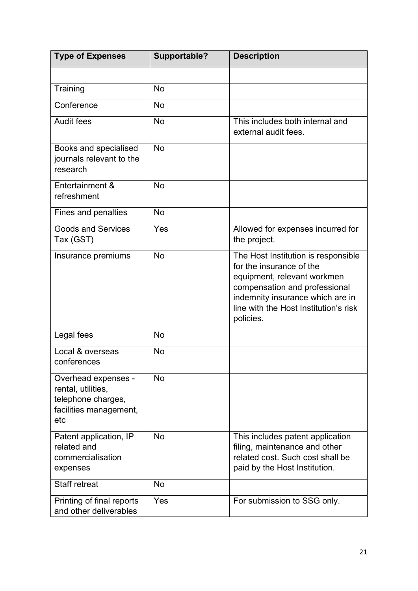| <b>Type of Expenses</b>                                                                          | Supportable? | <b>Description</b>                                                                                                                                                                                                        |
|--------------------------------------------------------------------------------------------------|--------------|---------------------------------------------------------------------------------------------------------------------------------------------------------------------------------------------------------------------------|
|                                                                                                  |              |                                                                                                                                                                                                                           |
| Training                                                                                         | <b>No</b>    |                                                                                                                                                                                                                           |
| Conference                                                                                       | <b>No</b>    |                                                                                                                                                                                                                           |
| <b>Audit fees</b>                                                                                | <b>No</b>    | This includes both internal and<br>external audit fees.                                                                                                                                                                   |
| Books and specialised<br>journals relevant to the<br>research                                    | <b>No</b>    |                                                                                                                                                                                                                           |
| Entertainment &<br>refreshment                                                                   | <b>No</b>    |                                                                                                                                                                                                                           |
| Fines and penalties                                                                              | <b>No</b>    |                                                                                                                                                                                                                           |
| <b>Goods and Services</b><br>Tax (GST)                                                           | Yes          | Allowed for expenses incurred for<br>the project.                                                                                                                                                                         |
| Insurance premiums                                                                               | <b>No</b>    | The Host Institution is responsible<br>for the insurance of the<br>equipment, relevant workmen<br>compensation and professional<br>indemnity insurance which are in<br>line with the Host Institution's risk<br>policies. |
| Legal fees                                                                                       | <b>No</b>    |                                                                                                                                                                                                                           |
| Local & overseas<br>conferences                                                                  | <b>No</b>    |                                                                                                                                                                                                                           |
| Overhead expenses -<br>rental, utilities,<br>telephone charges,<br>facilities management,<br>etc | <b>No</b>    |                                                                                                                                                                                                                           |
| Patent application, IP<br>related and<br>commercialisation<br>expenses                           | <b>No</b>    | This includes patent application<br>filing, maintenance and other<br>related cost. Such cost shall be<br>paid by the Host Institution.                                                                                    |
| <b>Staff retreat</b>                                                                             | <b>No</b>    |                                                                                                                                                                                                                           |
| Printing of final reports<br>and other deliverables                                              | Yes          | For submission to SSG only.                                                                                                                                                                                               |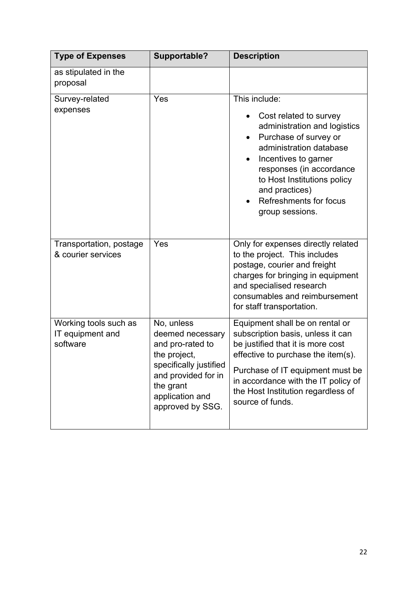| <b>Type of Expenses</b>                               | Supportable?                                                                                                                                                            | <b>Description</b>                                                                                                                                                                                                                                                                                |
|-------------------------------------------------------|-------------------------------------------------------------------------------------------------------------------------------------------------------------------------|---------------------------------------------------------------------------------------------------------------------------------------------------------------------------------------------------------------------------------------------------------------------------------------------------|
| as stipulated in the<br>proposal                      |                                                                                                                                                                         |                                                                                                                                                                                                                                                                                                   |
| Survey-related<br>expenses                            | Yes                                                                                                                                                                     | This include:<br>Cost related to survey<br>$\bullet$<br>administration and logistics<br>Purchase of survey or<br>administration database<br>Incentives to garner<br>responses (in accordance<br>to Host Institutions policy<br>and practices)<br><b>Refreshments for focus</b><br>group sessions. |
| Transportation, postage<br>& courier services         | Yes                                                                                                                                                                     | Only for expenses directly related<br>to the project. This includes<br>postage, courier and freight<br>charges for bringing in equipment<br>and specialised research<br>consumables and reimbursement<br>for staff transportation.                                                                |
| Working tools such as<br>IT equipment and<br>software | No, unless<br>deemed necessary<br>and pro-rated to<br>the project,<br>specifically justified<br>and provided for in<br>the grant<br>application and<br>approved by SSG. | Equipment shall be on rental or<br>subscription basis, unless it can<br>be justified that it is more cost<br>effective to purchase the item(s).<br>Purchase of IT equipment must be<br>in accordance with the IT policy of<br>the Host Institution regardless of<br>source of funds.              |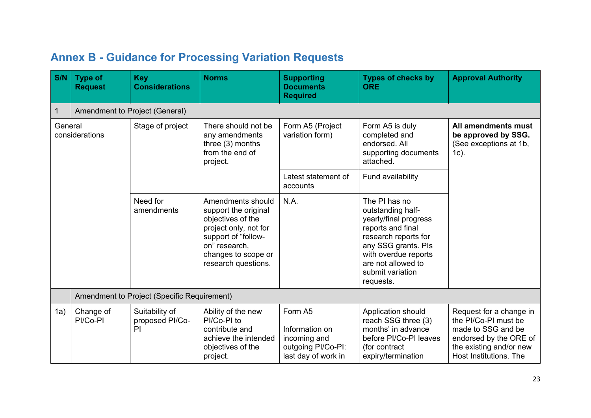### **Annex B - Guidance for Processing Variation Requests**

<span id="page-22-0"></span>

| S/N                       | <b>Type of</b><br><b>Request</b> | <b>Key</b><br><b>Considerations</b>         | <b>Norms</b>                                                                                                                                                                  | <b>Supporting</b><br><b>Documents</b><br><b>Required</b>                               | <b>Types of checks by</b><br><b>ORE</b>                                                                                                                                                                        | <b>Approval Authority</b>                                                                                                                            |
|---------------------------|----------------------------------|---------------------------------------------|-------------------------------------------------------------------------------------------------------------------------------------------------------------------------------|----------------------------------------------------------------------------------------|----------------------------------------------------------------------------------------------------------------------------------------------------------------------------------------------------------------|------------------------------------------------------------------------------------------------------------------------------------------------------|
| 1                         |                                  | Amendment to Project (General)              |                                                                                                                                                                               |                                                                                        |                                                                                                                                                                                                                |                                                                                                                                                      |
| General<br>considerations |                                  | Stage of project                            | There should not be<br>any amendments<br>three $(3)$ months<br>from the end of<br>project.                                                                                    | Form A5 (Project<br>variation form)                                                    | Form A5 is duly<br>completed and<br>endorsed. All<br>supporting documents<br>attached.                                                                                                                         | All amendments must<br>be approved by SSG.<br>(See exceptions at 1b,<br>$1c$ ).                                                                      |
|                           |                                  |                                             |                                                                                                                                                                               | Latest statement of<br>accounts                                                        | Fund availability                                                                                                                                                                                              |                                                                                                                                                      |
|                           |                                  | Need for<br>amendments                      | Amendments should<br>support the original<br>objectives of the<br>project only, not for<br>support of "follow-<br>on" research,<br>changes to scope or<br>research questions. | N.A.                                                                                   | The PI has no<br>outstanding half-<br>yearly/final progress<br>reports and final<br>research reports for<br>any SSG grants. Pls<br>with overdue reports<br>are not allowed to<br>submit variation<br>requests. |                                                                                                                                                      |
|                           |                                  | Amendment to Project (Specific Requirement) |                                                                                                                                                                               |                                                                                        |                                                                                                                                                                                                                |                                                                                                                                                      |
| 1a)                       | Change of<br>PI/Co-PI            | Suitability of<br>proposed PI/Co-<br>PI     | Ability of the new<br>PI/Co-PI to<br>contribute and<br>achieve the intended<br>objectives of the<br>project.                                                                  | Form A5<br>Information on<br>incoming and<br>outgoing PI/Co-PI:<br>last day of work in | Application should<br>reach SSG three (3)<br>months' in advance<br>before PI/Co-PI leaves<br>(for contract<br>expiry/termination                                                                               | Request for a change in<br>the PI/Co-PI must be<br>made to SSG and be<br>endorsed by the ORE of<br>the existing and/or new<br>Host Institutions. The |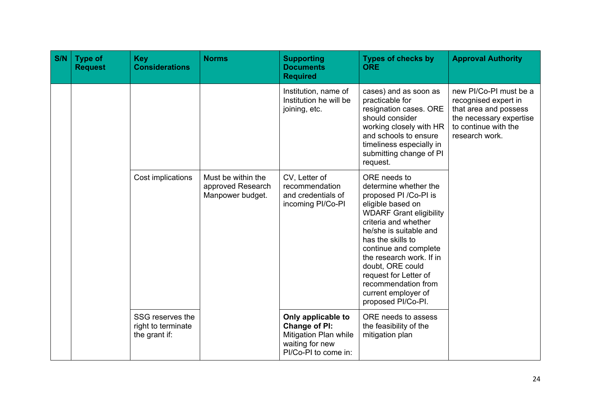| S/N | <b>Type of</b><br><b>Request</b> | <b>Key</b><br><b>Considerations</b>                     | <b>Norms</b>                                                | <b>Supporting</b><br><b>Documents</b><br><b>Required</b>                                                       | <b>Types of checks by</b><br><b>ORE</b>                                                                                                                                                                                                                                                                                                                             | <b>Approval Authority</b>                                                                                                                    |
|-----|----------------------------------|---------------------------------------------------------|-------------------------------------------------------------|----------------------------------------------------------------------------------------------------------------|---------------------------------------------------------------------------------------------------------------------------------------------------------------------------------------------------------------------------------------------------------------------------------------------------------------------------------------------------------------------|----------------------------------------------------------------------------------------------------------------------------------------------|
|     |                                  |                                                         |                                                             | Institution, name of<br>Institution he will be<br>joining, etc.                                                | cases) and as soon as<br>practicable for<br>resignation cases. ORE<br>should consider<br>working closely with HR<br>and schools to ensure<br>timeliness especially in<br>submitting change of PI<br>request.                                                                                                                                                        | new PI/Co-PI must be a<br>recognised expert in<br>that area and possess<br>the necessary expertise<br>to continue with the<br>research work. |
|     |                                  | Cost implications                                       | Must be within the<br>approved Research<br>Manpower budget. | CV, Letter of<br>recommendation<br>and credentials of<br>incoming PI/Co-PI                                     | ORE needs to<br>determine whether the<br>proposed PI / Co-PI is<br>eligible based on<br><b>WDARF Grant eligibility</b><br>criteria and whether<br>he/she is suitable and<br>has the skills to<br>continue and complete<br>the research work. If in<br>doubt, ORE could<br>request for Letter of<br>recommendation from<br>current employer of<br>proposed PI/Co-PI. |                                                                                                                                              |
|     |                                  | SSG reserves the<br>right to terminate<br>the grant if: |                                                             | Only applicable to<br><b>Change of PI:</b><br>Mitigation Plan while<br>waiting for new<br>PI/Co-PI to come in: | ORE needs to assess<br>the feasibility of the<br>mitigation plan                                                                                                                                                                                                                                                                                                    |                                                                                                                                              |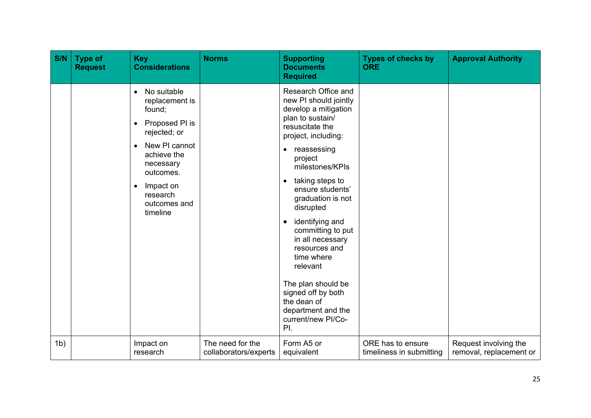| S/N            | <b>Type of</b><br><b>Request</b> | <b>Key</b><br><b>Considerations</b>                                                                                                                                                                                | <b>Norms</b>                              | <b>Supporting</b><br><b>Documents</b><br><b>Required</b>                                                                                                                                                                                                                                                                                                                                                                                                                                                  | <b>Types of checks by</b><br><b>ORE</b>       | <b>Approval Authority</b>                        |
|----------------|----------------------------------|--------------------------------------------------------------------------------------------------------------------------------------------------------------------------------------------------------------------|-------------------------------------------|-----------------------------------------------------------------------------------------------------------------------------------------------------------------------------------------------------------------------------------------------------------------------------------------------------------------------------------------------------------------------------------------------------------------------------------------------------------------------------------------------------------|-----------------------------------------------|--------------------------------------------------|
|                |                                  | No suitable<br>replacement is<br>found;<br>Proposed PI is<br>$\bullet$<br>rejected; or<br>New PI cannot<br>achieve the<br>necessary<br>outcomes.<br>Impact on<br>$\bullet$<br>research<br>outcomes and<br>timeline |                                           | Research Office and<br>new PI should jointly<br>develop a mitigation<br>plan to sustain/<br>resuscitate the<br>project, including:<br>• reassessing<br>project<br>milestones/KPIs<br>taking steps to<br>$\bullet$<br>ensure students'<br>graduation is not<br>disrupted<br>identifying and<br>$\bullet$<br>committing to put<br>in all necessary<br>resources and<br>time where<br>relevant<br>The plan should be<br>signed off by both<br>the dean of<br>department and the<br>current/new PI/Co-<br>PI. |                                               |                                                  |
| 1 <sub>b</sub> |                                  | Impact on<br>research                                                                                                                                                                                              | The need for the<br>collaborators/experts | Form A5 or<br>equivalent                                                                                                                                                                                                                                                                                                                                                                                                                                                                                  | ORE has to ensure<br>timeliness in submitting | Request involving the<br>removal, replacement or |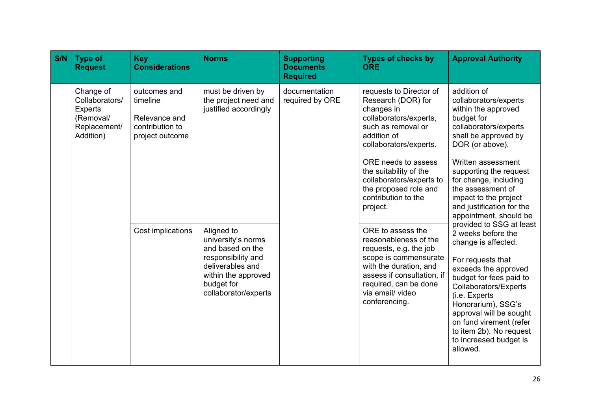| S/N | <b>Type of</b><br><b>Request</b>                                                        | <b>Key</b><br><b>Considerations</b>                                                                                                                                    | <b>Norms</b>                                                                                                                                                | <b>Supporting</b><br><b>Documents</b><br><b>Required</b>                                                                                                                                              | <b>Types of checks by</b><br><b>ORE</b>                                                                                                                                                                            | <b>Approval Authority</b>                                                                                                                                                                                                                                                                                                            |
|-----|-----------------------------------------------------------------------------------------|------------------------------------------------------------------------------------------------------------------------------------------------------------------------|-------------------------------------------------------------------------------------------------------------------------------------------------------------|-------------------------------------------------------------------------------------------------------------------------------------------------------------------------------------------------------|--------------------------------------------------------------------------------------------------------------------------------------------------------------------------------------------------------------------|--------------------------------------------------------------------------------------------------------------------------------------------------------------------------------------------------------------------------------------------------------------------------------------------------------------------------------------|
|     | Change of<br>Collaborators/<br><b>Experts</b><br>(Removal/<br>Replacement/<br>Addition) | must be driven by<br>documentation<br>outcomes and<br>the project need and<br>timeline<br>justified accordingly<br>Relevance and<br>contribution to<br>project outcome | required by ORE                                                                                                                                             | requests to Director of<br>Research (DOR) for<br>changes in<br>collaborators/experts,<br>such as removal or<br>addition of<br>collaborators/experts.<br>ORE needs to assess<br>the suitability of the | addition of<br>collaborators/experts<br>within the approved<br>budget for<br>collaborators/experts<br>shall be approved by<br>DOR (or above).<br>Written assessment                                                |                                                                                                                                                                                                                                                                                                                                      |
|     |                                                                                         |                                                                                                                                                                        |                                                                                                                                                             |                                                                                                                                                                                                       | collaborators/experts to<br>the proposed role and<br>contribution to the<br>project.                                                                                                                               | supporting the request<br>for change, including<br>the assessment of<br>impact to the project<br>and justification for the<br>appointment, should be                                                                                                                                                                                 |
|     |                                                                                         | Cost implications                                                                                                                                                      | Aligned to<br>university's norms<br>and based on the<br>responsibility and<br>deliverables and<br>within the approved<br>budget for<br>collaborator/experts |                                                                                                                                                                                                       | ORE to assess the<br>reasonableness of the<br>requests, e.g. the job<br>scope is commensurate<br>with the duration, and<br>assess if consultation, if<br>required, can be done<br>via email/video<br>conferencing. | provided to SSG at least<br>2 weeks before the<br>change is affected.<br>For requests that<br>exceeds the approved<br>budget for fees paid to<br>Collaborators/Experts<br>(i.e. Experts<br>Honorarium), SSG's<br>approval will be sought<br>on fund virement (refer<br>to item 2b). No request<br>to increased budget is<br>allowed. |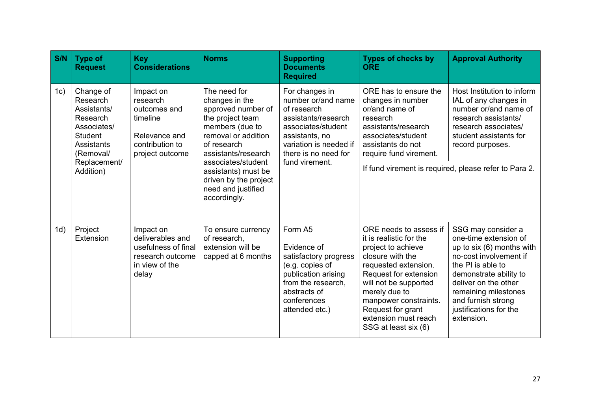| S/N | <b>Type of</b><br><b>Request</b>                                                                                    | <b>Key</b><br><b>Considerations</b>                                                                      | <b>Norms</b>                                                                                                                                                                                                                                                         | <b>Supporting</b><br><b>Documents</b><br><b>Required</b>                                                                                                                               | <b>Types of checks by</b><br><b>ORE</b>                                                                                                                                                                                                                                              | <b>Approval Authority</b>                                                                                                                                                                                                                                       |
|-----|---------------------------------------------------------------------------------------------------------------------|----------------------------------------------------------------------------------------------------------|----------------------------------------------------------------------------------------------------------------------------------------------------------------------------------------------------------------------------------------------------------------------|----------------------------------------------------------------------------------------------------------------------------------------------------------------------------------------|--------------------------------------------------------------------------------------------------------------------------------------------------------------------------------------------------------------------------------------------------------------------------------------|-----------------------------------------------------------------------------------------------------------------------------------------------------------------------------------------------------------------------------------------------------------------|
| 1c) | Change of<br>Research<br>Assistants/<br>Research<br>Associates/<br><b>Student</b><br><b>Assistants</b><br>(Removal/ | Impact on<br>research<br>outcomes and<br>timeline<br>Relevance and<br>contribution to<br>project outcome | The need for<br>changes in the<br>approved number of<br>the project team<br>members (due to<br>removal or addition<br>of research<br>assistants/research<br>associates/student<br>assistants) must be<br>driven by the project<br>need and justified<br>accordingly. | For changes in<br>number or/and name<br>of research<br>assistants/research<br>associates/student<br>assistants, no<br>variation is needed if<br>there is no need for<br>fund virement. | ORE has to ensure the<br>changes in number<br>or/and name of<br>research<br>assistants/research<br>associates/student<br>assistants do not<br>require fund virement.                                                                                                                 | Host Institution to inform<br>IAL of any changes in<br>number or/and name of<br>research assistants/<br>research associates/<br>student assistants for<br>record purposes.                                                                                      |
|     | Replacement/<br>Addition)                                                                                           |                                                                                                          |                                                                                                                                                                                                                                                                      |                                                                                                                                                                                        |                                                                                                                                                                                                                                                                                      | If fund virement is required, please refer to Para 2.                                                                                                                                                                                                           |
| 1d) | Project<br>Extension                                                                                                | Impact on<br>deliverables and<br>usefulness of final<br>research outcome<br>in view of the<br>delay      | To ensure currency<br>of research,<br>extension will be<br>capped at 6 months                                                                                                                                                                                        | Form A5<br>Evidence of<br>satisfactory progress<br>(e.g. copies of<br>publication arising<br>from the research,<br>abstracts of<br>conferences<br>attended etc.)                       | ORE needs to assess if<br>it is realistic for the<br>project to achieve<br>closure with the<br>requested extension.<br>Request for extension<br>will not be supported<br>merely due to<br>manpower constraints.<br>Request for grant<br>extension must reach<br>SSG at least six (6) | SSG may consider a<br>one-time extension of<br>up to six (6) months with<br>no-cost involvement if<br>the PI is able to<br>demonstrate ability to<br>deliver on the other<br>remaining milestones<br>and furnish strong<br>justifications for the<br>extension. |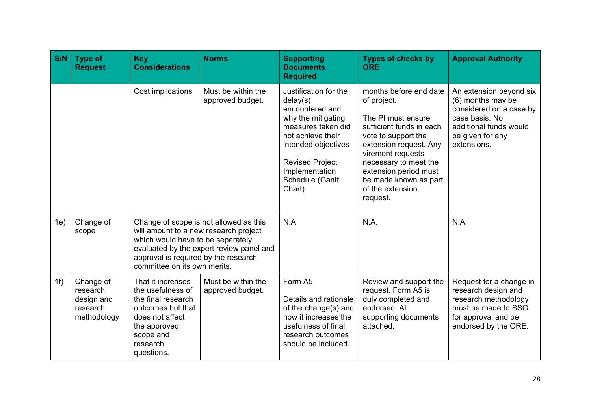| S/N | <b>Type of</b><br><b>Request</b>                               | <b>Key</b><br><b>Considerations</b>                                                                                                                                                                                                      | <b>Norms</b>                           | <b>Supporting</b><br><b>Documents</b><br><b>Required</b>                                                                                                                                                              | <b>Types of checks by</b><br><b>ORE</b>                                                                                                                                                                                                                                  | <b>Approval Authority</b>                                                                                                                              |
|-----|----------------------------------------------------------------|------------------------------------------------------------------------------------------------------------------------------------------------------------------------------------------------------------------------------------------|----------------------------------------|-----------------------------------------------------------------------------------------------------------------------------------------------------------------------------------------------------------------------|--------------------------------------------------------------------------------------------------------------------------------------------------------------------------------------------------------------------------------------------------------------------------|--------------------------------------------------------------------------------------------------------------------------------------------------------|
|     |                                                                | Cost implications                                                                                                                                                                                                                        | Must be within the<br>approved budget. | Justification for the<br>delay(s)<br>encountered and<br>why the mitigating<br>measures taken did<br>not achieve their<br>intended objectives<br><b>Revised Project</b><br>Implementation<br>Schedule (Gantt<br>Chart) | months before end date<br>of project.<br>The PI must ensure<br>sufficient funds in each<br>vote to support the<br>extension request. Any<br>virement requests<br>necessary to meet the<br>extension period must<br>be made known as part<br>of the extension<br>request. | An extension beyond six<br>(6) months may be<br>considered on a case by<br>case basis. No<br>additional funds would<br>be given for any<br>extensions. |
| 1e) | Change of<br>scope                                             | Change of scope is not allowed as this<br>will amount to a new research project<br>which would have to be separately<br>evaluated by the expert review panel and<br>approval is required by the research<br>committee on its own merits. |                                        | N.A.                                                                                                                                                                                                                  | N.A.                                                                                                                                                                                                                                                                     | N.A.                                                                                                                                                   |
| 1f) | Change of<br>research<br>design and<br>research<br>methodology | That it increases<br>the usefulness of<br>the final research<br>outcomes but that<br>does not affect<br>the approved<br>scope and<br>research<br>questions.                                                                              | Must be within the<br>approved budget. | Form A5<br>Details and rationale<br>of the change(s) and<br>how it increases the<br>usefulness of final<br>research outcomes<br>should be included.                                                                   | Review and support the<br>request. Form A5 is<br>duly completed and<br>endorsed. All<br>supporting documents<br>attached.                                                                                                                                                | Request for a change in<br>research design and<br>research methodology<br>must be made to SSG<br>for approval and be<br>endorsed by the ORE.           |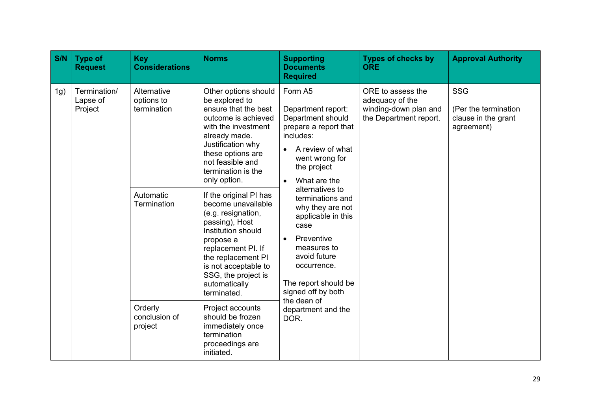| S/N | <b>Type of</b><br><b>Request</b>    | <b>Key</b><br><b>Considerations</b>                                                                                                                                                                                                                                                                                                                                      | <b>Norms</b>                                                                                                                                                                                                             | <b>Supporting</b><br><b>Documents</b><br><b>Required</b>                                                                                                                                                           | <b>Types of checks by</b><br><b>ORE</b>                                 | <b>Approval Authority</b> |
|-----|-------------------------------------|--------------------------------------------------------------------------------------------------------------------------------------------------------------------------------------------------------------------------------------------------------------------------------------------------------------------------------------------------------------------------|--------------------------------------------------------------------------------------------------------------------------------------------------------------------------------------------------------------------------|--------------------------------------------------------------------------------------------------------------------------------------------------------------------------------------------------------------------|-------------------------------------------------------------------------|---------------------------|
| 1g) | Termination/<br>Lapse of<br>Project | Alternative<br>Other options should<br>Form A5<br>be explored to<br>options to<br>ensure that the best<br>termination<br>outcome is achieved<br>with the investment<br>includes:<br>already made.<br>Justification why<br>these options are<br>not feasible and<br>the project<br>termination is the<br>only option.<br>$\bullet$<br>Automatic<br>If the original PI has | Department report:<br>Department should<br>prepare a report that<br>A review of what<br>went wrong for<br>What are the<br>alternatives to<br>terminations and                                                            | ORE to assess the<br>adequacy of the<br>winding-down plan and<br>the Department report.                                                                                                                            | <b>SSG</b><br>(Per the termination<br>clause in the grant<br>agreement) |                           |
|     |                                     | Termination                                                                                                                                                                                                                                                                                                                                                              | become unavailable<br>(e.g. resignation,<br>passing), Host<br>Institution should<br>propose a<br>replacement PI. If<br>the replacement PI<br>is not acceptable to<br>SSG, the project is<br>automatically<br>terminated. | why they are not<br>applicable in this<br>case<br>Preventive<br>$\bullet$<br>measures to<br>avoid future<br>occurrence.<br>The report should be<br>signed off by both<br>the dean of<br>department and the<br>DOR. |                                                                         |                           |
|     |                                     | Orderly<br>conclusion of<br>project                                                                                                                                                                                                                                                                                                                                      | Project accounts<br>should be frozen<br>immediately once<br>termination<br>proceedings are<br>initiated.                                                                                                                 |                                                                                                                                                                                                                    |                                                                         |                           |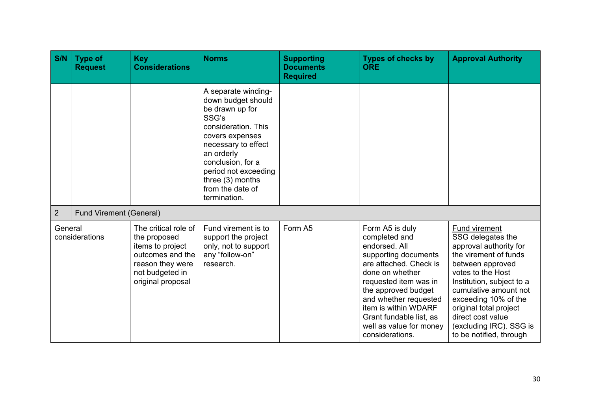| S/N                       | <b>Type of</b><br><b>Request</b> | <b>Key</b><br><b>Considerations</b>                                                                                                      | <b>Norms</b>                                                                                                                                                                                                                                                | <b>Supporting</b><br><b>Documents</b><br><b>Required</b> | <b>Types of checks by</b><br><b>ORE</b>                                                                                                                                                                                                                                                          | <b>Approval Authority</b>                                                                                                                                                                                                                                                                                                |
|---------------------------|----------------------------------|------------------------------------------------------------------------------------------------------------------------------------------|-------------------------------------------------------------------------------------------------------------------------------------------------------------------------------------------------------------------------------------------------------------|----------------------------------------------------------|--------------------------------------------------------------------------------------------------------------------------------------------------------------------------------------------------------------------------------------------------------------------------------------------------|--------------------------------------------------------------------------------------------------------------------------------------------------------------------------------------------------------------------------------------------------------------------------------------------------------------------------|
|                           |                                  |                                                                                                                                          | A separate winding-<br>down budget should<br>be drawn up for<br>SSG's<br>consideration. This<br>covers expenses<br>necessary to effect<br>an orderly<br>conclusion, for a<br>period not exceeding<br>three $(3)$ months<br>from the date of<br>termination. |                                                          |                                                                                                                                                                                                                                                                                                  |                                                                                                                                                                                                                                                                                                                          |
| $\overline{2}$            | <b>Fund Virement (General)</b>   |                                                                                                                                          |                                                                                                                                                                                                                                                             |                                                          |                                                                                                                                                                                                                                                                                                  |                                                                                                                                                                                                                                                                                                                          |
| General<br>considerations |                                  | The critical role of<br>the proposed<br>items to project<br>outcomes and the<br>reason they were<br>not budgeted in<br>original proposal | Fund virement is to<br>support the project<br>only, not to support<br>any "follow-on"<br>research.                                                                                                                                                          | Form A5                                                  | Form A5 is duly<br>completed and<br>endorsed. All<br>supporting documents<br>are attached. Check is<br>done on whether<br>requested item was in<br>the approved budget<br>and whether requested<br>item is within WDARF<br>Grant fundable list, as<br>well as value for money<br>considerations. | <b>Fund virement</b><br>SSG delegates the<br>approval authority for<br>the virement of funds<br>between approved<br>votes to the Host<br>Institution, subject to a<br>cumulative amount not<br>exceeding 10% of the<br>original total project<br>direct cost value<br>(excluding IRC). SSG is<br>to be notified, through |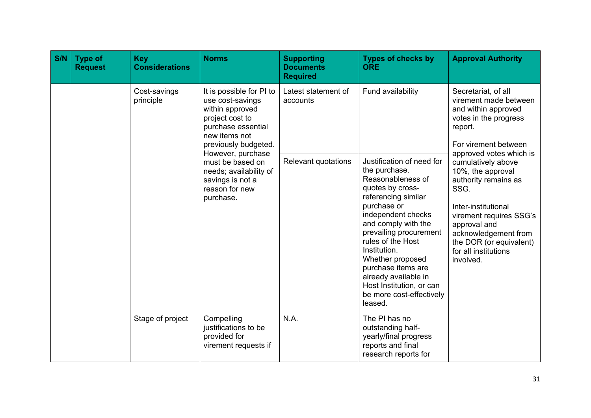| S/N | <b>Type of</b><br><b>Request</b> | <b>Key</b><br><b>Considerations</b> | <b>Norms</b>                                                                                                                                                                               | <b>Supporting</b><br><b>Documents</b><br><b>Required</b>      | <b>Types of checks by</b><br><b>ORE</b>                                                                                                                                                                                                                                                                                                       | <b>Approval Authority</b>                                                                                                                                                                                   |
|-----|----------------------------------|-------------------------------------|--------------------------------------------------------------------------------------------------------------------------------------------------------------------------------------------|---------------------------------------------------------------|-----------------------------------------------------------------------------------------------------------------------------------------------------------------------------------------------------------------------------------------------------------------------------------------------------------------------------------------------|-------------------------------------------------------------------------------------------------------------------------------------------------------------------------------------------------------------|
|     |                                  | Cost-savings<br>principle           | It is possible for PI to<br>use cost-savings<br>within approved<br>project cost to<br>purchase essential<br>new items not<br>previously budgeted.<br>However, purchase<br>must be based on | Latest statement of<br>accounts<br><b>Relevant quotations</b> | Fund availability<br>Justification of need for                                                                                                                                                                                                                                                                                                | Secretariat, of all<br>virement made between<br>and within approved<br>votes in the progress<br>report.<br>For virement between<br>approved votes which is<br>cumulatively above                            |
|     |                                  |                                     | needs; availability of<br>savings is not a<br>reason for new<br>purchase.                                                                                                                  |                                                               | the purchase.<br>Reasonableness of<br>quotes by cross-<br>referencing similar<br>purchase or<br>independent checks<br>and comply with the<br>prevailing procurement<br>rules of the Host<br>Institution.<br>Whether proposed<br>purchase items are<br>already available in<br>Host Institution, or can<br>be more cost-effectively<br>leased. | 10%, the approval<br>authority remains as<br>SSG.<br>Inter-institutional<br>virement requires SSG's<br>approval and<br>acknowledgement from<br>the DOR (or equivalent)<br>for all institutions<br>involved. |
|     |                                  | Stage of project                    | Compelling<br>justifications to be<br>provided for<br>virement requests if                                                                                                                 | N.A.                                                          | The PI has no<br>outstanding half-<br>yearly/final progress<br>reports and final<br>research reports for                                                                                                                                                                                                                                      |                                                                                                                                                                                                             |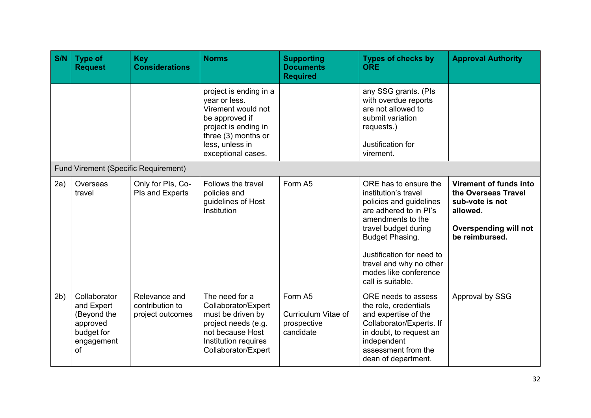| S/N | <b>Type of</b><br><b>Request</b>                                                        | <b>Key</b><br><b>Considerations</b>                  | <b>Norms</b>                                                                                                                                                            | <b>Supporting</b><br><b>Documents</b><br><b>Required</b>   | <b>Types of checks by</b><br><b>ORE</b>                                                                                                                                                                                                                                  | <b>Approval Authority</b>                                                                                                      |
|-----|-----------------------------------------------------------------------------------------|------------------------------------------------------|-------------------------------------------------------------------------------------------------------------------------------------------------------------------------|------------------------------------------------------------|--------------------------------------------------------------------------------------------------------------------------------------------------------------------------------------------------------------------------------------------------------------------------|--------------------------------------------------------------------------------------------------------------------------------|
|     |                                                                                         |                                                      | project is ending in a<br>year or less.<br>Virement would not<br>be approved if<br>project is ending in<br>three (3) months or<br>less, unless in<br>exceptional cases. |                                                            | any SSG grants. (Pls<br>with overdue reports<br>are not allowed to<br>submit variation<br>requests.)<br>Justification for<br>virement.                                                                                                                                   |                                                                                                                                |
|     | <b>Fund Virement (Specific Requirement)</b>                                             |                                                      |                                                                                                                                                                         |                                                            |                                                                                                                                                                                                                                                                          |                                                                                                                                |
| 2a) | Overseas<br>travel                                                                      | Only for Pls, Co-<br>PIs and Experts                 | Follows the travel<br>policies and<br>guidelines of Host<br>Institution                                                                                                 | Form A5                                                    | ORE has to ensure the<br>institution's travel<br>policies and guidelines<br>are adhered to in Pl's<br>amendments to the<br>travel budget during<br>Budget Phasing.<br>Justification for need to<br>travel and why no other<br>modes like conference<br>call is suitable. | Virement of funds into<br>the Overseas Travel<br>sub-vote is not<br>allowed.<br><b>Overspending will not</b><br>be reimbursed. |
| 2b) | Collaborator<br>and Expert<br>(Beyond the<br>approved<br>budget for<br>engagement<br>of | Relevance and<br>contribution to<br>project outcomes | The need for a<br>Collaborator/Expert<br>must be driven by<br>project needs (e.g.<br>not because Host<br>Institution requires<br>Collaborator/Expert                    | Form A5<br>Curriculum Vitae of<br>prospective<br>candidate | ORE needs to assess<br>the role, credentials<br>and expertise of the<br>Collaborator/Experts. If<br>in doubt, to request an<br>independent<br>assessment from the<br>dean of department.                                                                                 | Approval by SSG                                                                                                                |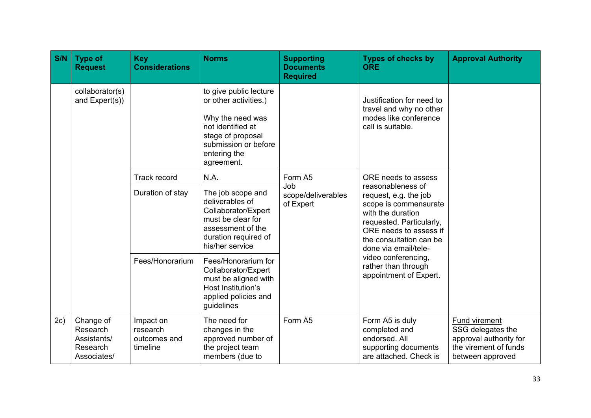| S/N | <b>Type of</b><br><b>Request</b>                                | <b>Key</b><br><b>Considerations</b>               | <b>Norms</b>                                                                                                                                                        | <b>Supporting</b><br><b>Documents</b><br><b>Required</b> | <b>Types of checks by</b><br><b>ORE</b>                                                                                                                                                                                  | <b>Approval Authority</b>                                                                                 |
|-----|-----------------------------------------------------------------|---------------------------------------------------|---------------------------------------------------------------------------------------------------------------------------------------------------------------------|----------------------------------------------------------|--------------------------------------------------------------------------------------------------------------------------------------------------------------------------------------------------------------------------|-----------------------------------------------------------------------------------------------------------|
|     | collaborator(s)<br>and Expert(s))                               |                                                   | to give public lecture<br>or other activities.)<br>Why the need was<br>not identified at<br>stage of proposal<br>submission or before<br>entering the<br>agreement. |                                                          | Justification for need to<br>travel and why no other<br>modes like conference<br>call is suitable.                                                                                                                       |                                                                                                           |
|     |                                                                 | <b>Track record</b>                               | N.A.                                                                                                                                                                | Form A5<br>Job<br>scope/deliverables<br>of Expert        | ORE needs to assess<br>reasonableness of<br>request, e.g. the job<br>scope is commensurate<br>with the duration<br>requested. Particularly,<br>ORE needs to assess if<br>the consultation can be<br>done via email/tele- |                                                                                                           |
|     |                                                                 | Duration of stay                                  | The job scope and<br>deliverables of<br>Collaborator/Expert<br>must be clear for<br>assessment of the<br>duration required of<br>his/her service                    |                                                          |                                                                                                                                                                                                                          |                                                                                                           |
|     |                                                                 | Fees/Honorarium                                   | Fees/Honorarium for<br>Collaborator/Expert<br>must be aligned with<br>Host Institution's<br>applied policies and<br>guidelines                                      |                                                          |                                                                                                                                                                                                                          | video conferencing,<br>rather than through<br>appointment of Expert.                                      |
| 2c) | Change of<br>Research<br>Assistants/<br>Research<br>Associates/ | Impact on<br>research<br>outcomes and<br>timeline | The need for<br>changes in the<br>approved number of<br>the project team<br>members (due to                                                                         | Form A5                                                  | Form A5 is duly<br>completed and<br>endorsed. All<br>supporting documents<br>are attached. Check is                                                                                                                      | Fund virement<br>SSG delegates the<br>approval authority for<br>the virement of funds<br>between approved |